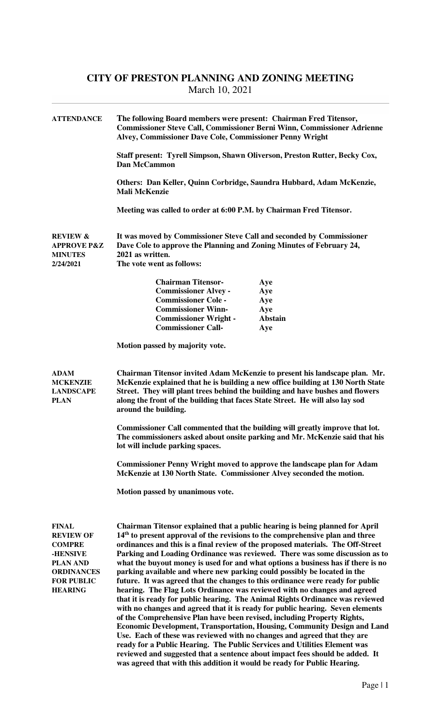## **CITY OF PRESTON PLANNING AND ZONING MEETING**  March 10, 2021

| <b>ATTENDANCE</b>                                                                                                                            | The following Board members were present: Chairman Fred Titensor,<br><b>Commissioner Steve Call, Commissioner Berni Winn, Commissioner Adrienne</b><br>Alvey, Commissioner Dave Cole, Commissioner Penny Wright<br>Staff present: Tyrell Simpson, Shawn Oliverson, Preston Rutter, Becky Cox,<br><b>Dan McCammon</b><br>Others: Dan Keller, Quinn Corbridge, Saundra Hubbard, Adam McKenzie,<br><b>Mali McKenzie</b><br>Meeting was called to order at 6:00 P.M. by Chairman Fred Titensor.                                                                                                                                                                                                                                                                                                                                                                                                                                                                                                                                                                                                                                                                                                                                                                                                                           |                       |  |
|----------------------------------------------------------------------------------------------------------------------------------------------|-----------------------------------------------------------------------------------------------------------------------------------------------------------------------------------------------------------------------------------------------------------------------------------------------------------------------------------------------------------------------------------------------------------------------------------------------------------------------------------------------------------------------------------------------------------------------------------------------------------------------------------------------------------------------------------------------------------------------------------------------------------------------------------------------------------------------------------------------------------------------------------------------------------------------------------------------------------------------------------------------------------------------------------------------------------------------------------------------------------------------------------------------------------------------------------------------------------------------------------------------------------------------------------------------------------------------|-----------------------|--|
|                                                                                                                                              |                                                                                                                                                                                                                                                                                                                                                                                                                                                                                                                                                                                                                                                                                                                                                                                                                                                                                                                                                                                                                                                                                                                                                                                                                                                                                                                       |                       |  |
|                                                                                                                                              |                                                                                                                                                                                                                                                                                                                                                                                                                                                                                                                                                                                                                                                                                                                                                                                                                                                                                                                                                                                                                                                                                                                                                                                                                                                                                                                       |                       |  |
|                                                                                                                                              |                                                                                                                                                                                                                                                                                                                                                                                                                                                                                                                                                                                                                                                                                                                                                                                                                                                                                                                                                                                                                                                                                                                                                                                                                                                                                                                       |                       |  |
| <b>REVIEW &amp;</b><br><b>APPROVE P&amp;Z</b><br><b>MINUTES</b><br>2/24/2021                                                                 | It was moved by Commissioner Steve Call and seconded by Commissioner<br>Dave Cole to approve the Planning and Zoning Minutes of February 24,<br>2021 as written.<br>The vote went as follows:                                                                                                                                                                                                                                                                                                                                                                                                                                                                                                                                                                                                                                                                                                                                                                                                                                                                                                                                                                                                                                                                                                                         |                       |  |
|                                                                                                                                              |                                                                                                                                                                                                                                                                                                                                                                                                                                                                                                                                                                                                                                                                                                                                                                                                                                                                                                                                                                                                                                                                                                                                                                                                                                                                                                                       |                       |  |
|                                                                                                                                              | <b>Chairman Titensor-</b>                                                                                                                                                                                                                                                                                                                                                                                                                                                                                                                                                                                                                                                                                                                                                                                                                                                                                                                                                                                                                                                                                                                                                                                                                                                                                             | Aye                   |  |
|                                                                                                                                              | <b>Commissioner Alvey -</b>                                                                                                                                                                                                                                                                                                                                                                                                                                                                                                                                                                                                                                                                                                                                                                                                                                                                                                                                                                                                                                                                                                                                                                                                                                                                                           | Aye                   |  |
|                                                                                                                                              | <b>Commissioner Cole -</b>                                                                                                                                                                                                                                                                                                                                                                                                                                                                                                                                                                                                                                                                                                                                                                                                                                                                                                                                                                                                                                                                                                                                                                                                                                                                                            | Aye                   |  |
|                                                                                                                                              | <b>Commissioner Winn-</b><br><b>Commissioner Wright -</b>                                                                                                                                                                                                                                                                                                                                                                                                                                                                                                                                                                                                                                                                                                                                                                                                                                                                                                                                                                                                                                                                                                                                                                                                                                                             | Aye<br><b>Abstain</b> |  |
|                                                                                                                                              | <b>Commissioner Call-</b>                                                                                                                                                                                                                                                                                                                                                                                                                                                                                                                                                                                                                                                                                                                                                                                                                                                                                                                                                                                                                                                                                                                                                                                                                                                                                             | Aye                   |  |
|                                                                                                                                              | Motion passed by majority vote.                                                                                                                                                                                                                                                                                                                                                                                                                                                                                                                                                                                                                                                                                                                                                                                                                                                                                                                                                                                                                                                                                                                                                                                                                                                                                       |                       |  |
| <b>ADAM</b><br><b>MCKENZIE</b><br><b>LANDSCAPE</b><br><b>PLAN</b>                                                                            | Chairman Titensor invited Adam McKenzie to present his landscape plan. Mr.<br>McKenzie explained that he is building a new office building at 130 North State<br>Street. They will plant trees behind the building and have bushes and flowers<br>along the front of the building that faces State Street. He will also lay sod<br>around the building.<br>Commissioner Call commented that the building will greatly improve that lot.<br>The commissioners asked about onsite parking and Mr. McKenzie said that his<br>lot will include parking spaces.<br><b>Commissioner Penny Wright moved to approve the landscape plan for Adam</b><br>McKenzie at 130 North State. Commissioner Alvey seconded the motion.                                                                                                                                                                                                                                                                                                                                                                                                                                                                                                                                                                                                   |                       |  |
|                                                                                                                                              | Motion passed by unanimous vote.                                                                                                                                                                                                                                                                                                                                                                                                                                                                                                                                                                                                                                                                                                                                                                                                                                                                                                                                                                                                                                                                                                                                                                                                                                                                                      |                       |  |
| <b>FINAL</b><br><b>REVIEW OF</b><br><b>COMPRE</b><br>-HENSIVE<br><b>PLAN AND</b><br><b>ORDINANCES</b><br><b>FOR PUBLIC</b><br><b>HEARING</b> | Chairman Titensor explained that a public hearing is being planned for April<br>$14th$ to present approval of the revisions to the comprehensive plan and three<br>ordinances and this is a final review of the proposed materials. The Off-Street<br>Parking and Loading Ordinance was reviewed. There was some discussion as to<br>what the buyout money is used for and what options a business has if there is no<br>parking available and where new parking could possibly be located in the<br>future. It was agreed that the changes to this ordinance were ready for public<br>hearing. The Flag Lots Ordinance was reviewed with no changes and agreed<br>that it is ready for public hearing. The Animal Rights Ordinance was reviewed<br>with no changes and agreed that it is ready for public hearing. Seven elements<br>of the Comprehensive Plan have been revised, including Property Rights,<br><b>Economic Development, Transportation, Housing, Community Design and Land</b><br>Use. Each of these was reviewed with no changes and agreed that they are<br>ready for a Public Hearing. The Public Services and Utilities Element was<br>reviewed and suggested that a sentence about impact fees should be added. It<br>was agreed that with this addition it would be ready for Public Hearing. |                       |  |